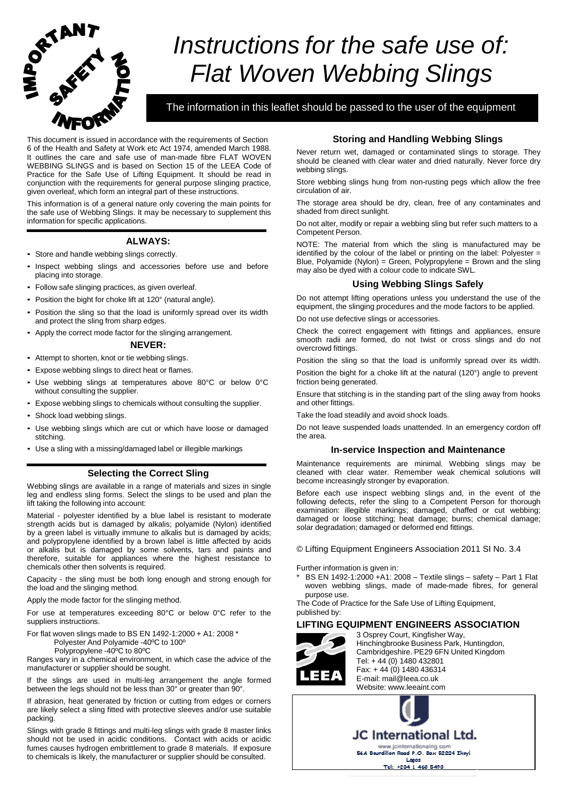

# *Instructions for the safe use of: Flat Woven Webbing Slings*

The information in this leaflet should be passed to the user of the equipment

This document is issued in accordance with the requirements of Section 6 of the Health and Safety at Work etc Act 1974, amended March 1988. It outlines the care and safe use of man-made fibre FLAT WOVEN WEBBING SLINGS and is based on Section 15 of the LEEA Code of Practice for the Safe Use of Lifting Equipment. It should be read in conjunction with the requirements for general purpose slinging practice, given overleaf, which form an integral part of these instructions.

This information is of a general nature only covering the main points for the safe use of Webbing Slings. It may be necessary to supplement this information for specific applications.

## **ALWAYS:**

- Store and handle webbing slings correctly.
- Inspect webbing slings and accessories before use and before placing into storage.
- Follow safe slinging practices, as given overleaf.
- Position the bight for choke lift at 120° (natural angle).
- Position the sling so that the load is uniformly spread over its width and protect the sling from sharp edges.
- Apply the correct mode factor for the slinging arrangement.

#### **NEVER:**

- Attempt to shorten, knot or tie webbing slings.
- Expose webbing slings to direct heat or flames.
- Use webbing slings at temperatures above 80°C or below 0°C without consulting the supplier.
- Expose webbing slings to chemicals without consulting the supplier.
- Shock load webbing slings.
- Use webbing slings which are cut or which have loose or damaged stitching.
- Use a sling with a missing/damaged label or illegible markings

## **Selecting the Correct Sling**

Webbing slings are available in a range of materials and sizes in single leg and endless sling forms. Select the slings to be used and plan the lift taking the following into account:

Material - polyester identified by a blue label is resistant to moderate strength acids but is damaged by alkalis; polyamide (Nylon) identified by a green label is virtually immune to alkalis but is damaged by acids; and polypropylene identified by a brown label is little affected by acids or alkalis but is damaged by some solvents, tars and paints and therefore, suitable for appliances where the highest resistance to chemicals other then solvents is required.

Capacity - the sling must be both long enough and strong enough for the load and the slinging method.

Apply the mode factor for the slinging method.

For use at temperatures exceeding 80°C or below 0°C refer to the suppliers instructions.

For flat woven slings made to BS EN 1492-1:2000 + A1: 2008 \* Polyester And Polyamide -40ºC to 100º

Polypropylene -40ºC to 80ºC

Ranges vary in a chemical environment, in which case the advice of the manufacturer or supplier should be sought.

If the slings are used in multi-leg arrangement the angle formed between the legs should not be less than 30° or greater than 90°.

If abrasion, heat generated by friction or cutting from edges or corners are likely select a sling fitted with protective sleeves and/or use suitable packing.

Slings with grade 8 fittings and multi-leg slings with grade 8 master links should not be used in acidic conditions. Contact with acids or acidic fumes causes hydrogen embrittlement to grade 8 materials. If exposure to chemicals is likely, the manufacturer or supplier should be consulted.

## **Storing and Handling Webbing Slings**

Never return wet, damaged or contaminated slings to storage. They should be cleaned with clear water and dried naturally. Never force dry webbing slings.

Store webbing slings hung from non-rusting pegs which allow the free circulation of air.

The storage area should be dry, clean, free of any contaminates and shaded from direct sunlight.

Do not alter, modify or repair a webbing sling but refer such matters to a Competent Person.

NOTE: The material from which the sling is manufactured may be identified by the colour of the label or printing on the label: Polyester = Blue, Polyamide (Nylon) = Green, Polypropylene = Brown and the sling may also be dyed with a colour code to indicate SWL*.*

## **Using Webbing Slings Safely**

Do not attempt lifting operations unless you understand the use of the equipment, the slinging procedures and the mode factors to be applied.

Do not use defective slings or accessories.

Check the correct engagement with fittings and appliances, ensure smooth radii are formed, do not twist or cross slings and do not overcrowd fittings.

Position the sling so that the load is uniformly spread over its width.

Position the bight for a choke lift at the natural (120°) angle to prevent friction being generated.

Ensure that stitching is in the standing part of the sling away from hooks and other fittings.

Take the load steadily and avoid shock loads.

Do not leave suspended loads unattended. In an emergency cordon off the area.

### **In-service Inspection and Maintenance**

Maintenance requirements are minimal. Webbing slings may be cleaned with clear water. Remember weak chemical solutions will become increasingly stronger by evaporation.

Before each use inspect webbing slings and, in the event of the following defects, refer the sling to a Competent Person for thorough examination: illegible markings; damaged, chaffed or cut webbing; damaged or loose stitching; heat damage; burns; chemical damage; solar degradation; damaged or deformed end fittings.

© Lifting Equipment Engineers Association 2011 SI No. 3.4

Further information is given in:

BS EN 1492-1:2000 +A1: 2008 – Textile slings – safety – Part 1 Flat woven webbing slings, made of made-made fibres, for general purpose use.

The Code of Practice for the Safe Use of Lifting Equipment, published by:

## **LIFTING EQUIPMENT ENGINEERS ASSOCIATION**



3 Osprey Court, Kingfisher Way, Hinchingbrooke Business Park, Huntingdon, Cambridgeshire. PE29 6FN United Kingdom Tel: + 44 (0) 1480 432801 Fax: + 44 (0) 1480 436314 E-mail: [mail@leea.co.uk](mailto:mail@leea.co.uk) Website: [www.leeaint.com](http://www.leeaint.com/)